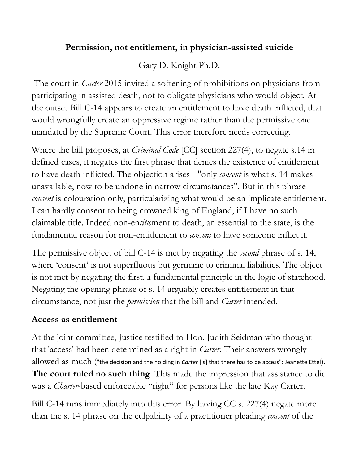#### **Permission, not entitlement, in physician-assisted suicide**

# Gary D. Knight Ph.D.

The court in *Carter* 2015 invited a softening of prohibitions on physicians from participating in assisted death, not to obligate physicians who would object. At the outset Bill C-14 appears to create an entitlement to have death inflicted, that would wrongfully create an oppressive regime rather than the permissive one mandated by the Supreme Court. This error therefore needs correcting.

Where the bill proposes, at *Criminal Code* [CC] section 227(4), to negate s.14 in defined cases, it negates the first phrase that denies the existence of entitlement to have death inflicted. The objection arises - "only *consent* is what s. 14 makes unavailable, now to be undone in narrow circumstances". But in this phrase *consent* is colouration only, particularizing what would be an implicate entitlement. I can hardly consent to being crowned king of England, if I have no such claimable title. Indeed non-en*title*ment to death, an essential to the state, is the fundamental reason for non-entitlement to *consent* to have someone inflict it.

The permissive object of bill C-14 is met by negating the *second* phrase of s. 14, where 'consent' is not superfluous but germane to criminal liabilities. The object is not met by negating the first, a fundamental principle in the logic of statehood. Negating the opening phrase of s. 14 arguably creates entitlement in that circumstance, not just the *permission* that the bill and *Carter* intended.

#### **Access as entitlement**

At the joint committee, Justice testified to Hon. Judith Seidman who thought that 'access' had been determined as a right in *Carter*. Their answers wrongly allowed as much ("the decision and the holding in *Carter* [is] that there has to be access": Jeanette Ettel). **The court ruled no such thing**. This made the impression that assistance to die was a *Charter*-based enforceable "right" for persons like the late Kay Carter.

Bill C-14 runs immediately into this error. By having CC s. 227(4) negate more than the s. 14 phrase on the culpability of a practitioner pleading *consent* of the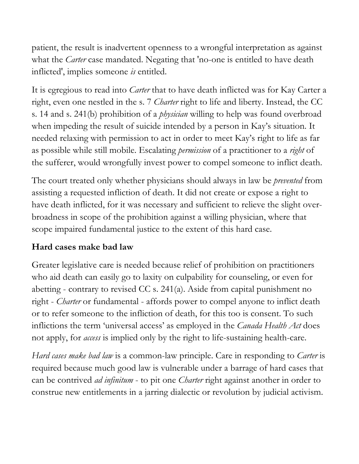patient, the result is inadvertent openness to a wrongful interpretation as against what the *Carter* case mandated. Negating that 'no-one is entitled to have death inflicted', implies someone *is* entitled.

It is egregious to read into *Carter* that to have death inflicted was for Kay Carter a right, even one nestled in the s. 7 *Charter* right to life and liberty. Instead, the CC s. 14 and s. 241(b) prohibition of a *physician* willing to help was found overbroad when impeding the result of suicide intended by a person in Kay's situation. It needed relaxing with permission to act in order to meet Kay's right to life as far as possible while still mobile. Escalating *permission* of a practitioner to a *right* of the sufferer, would wrongfully invest power to compel someone to inflict death.

The court treated only whether physicians should always in law be *prevented* from assisting a requested infliction of death. It did not create or expose a right to have death inflicted, for it was necessary and sufficient to relieve the slight overbroadness in scope of the prohibition against a willing physician, where that scope impaired fundamental justice to the extent of this hard case.

#### **Hard cases make bad law**

Greater legislative care is needed because relief of prohibition on practitioners who aid death can easily go to laxity on culpability for counseling, or even for abetting - contrary to revised CC s. 241(a). Aside from capital punishment no right - *Charter* or fundamental - affords power to compel anyone to inflict death or to refer someone to the infliction of death, for this too is consent. To such inflictions the term 'universal access' as employed in the *Canada Health Act* does not apply, for *access* is implied only by the right to life-sustaining health-care.

*Hard cases make bad law* is a common-law principle. Care in responding to *Carter* is required because much good law is vulnerable under a barrage of hard cases that can be contrived *ad infinitum* - to pit one *Charter* right against another in order to construe new entitlements in a jarring dialectic or revolution by judicial activism.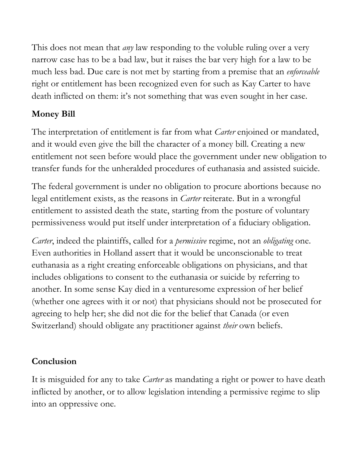This does not mean that *any* law responding to the voluble ruling over a very narrow case has to be a bad law, but it raises the bar very high for a law to be much less bad. Due care is not met by starting from a premise that an *enforceable* right or entitlement has been recognized even for such as Kay Carter to have death inflicted on them: it's not something that was even sought in her case.

# **Money Bill**

The interpretation of entitlement is far from what *Carter* enjoined or mandated, and it would even give the bill the character of a money bill. Creating a new entitlement not seen before would place the government under new obligation to transfer funds for the unheralded procedures of euthanasia and assisted suicide.

The federal government is under no obligation to procure abortions because no legal entitlement exists, as the reasons in *Carter* reiterate. But in a wrongful entitlement to assisted death the state, starting from the posture of voluntary permissiveness would put itself under interpretation of a fiduciary obligation.

*Carter*, indeed the plaintiffs, called for a *permissive* regime, not an *obligating* one. Even authorities in Holland assert that it would be unconscionable to treat euthanasia as a right creating enforceable obligations on physicians, and that includes obligations to consent to the euthanasia or suicide by referring to another. In some sense Kay died in a venturesome expression of her belief (whether one agrees with it or not) that physicians should not be prosecuted for agreeing to help her; she did not die for the belief that Canada (or even Switzerland) should obligate any practitioner against *their* own beliefs.

### **Conclusion**

It is misguided for any to take *Carter* as mandating a right or power to have death inflicted by another, or to allow legislation intending a permissive regime to slip into an oppressive one.